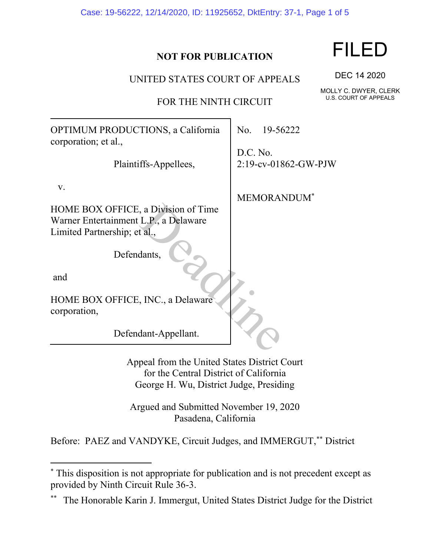Case: 19-56222, 12/14/2020, ID: 11925652, DktEntry: 37-1, Page 1 of 5

## **NOT FOR PUBLICATION**

UNITED STATES COURT OF APPEALS

FOR THE NINTH CIRCUIT

OPTIMUM PRODUCTIONS, a California corporation; et al., Plaintiffs-Appellees, v. HOME BOX OFFICE, a Division of Time Warner Entertainment L.P., a Delaware Limited Partnership; et al., Defendants, and No. 19-56222 D.C. No. 2:19-cv-01862-GW-PJW MEMORANDUM\* Solution of Time<br>
L.P., a Delaware<br>
t al.,<br>
dants,<br>
C.C., a Delaware<br>
dant-Appellant.

HOME BOX OFFICE, INC., a Delaware corporation,

Defendant-Appellant.

Appeal from the United States District Court for the Central District of California George H. Wu, District Judge, Presiding

Argued and Submitted November 19, 2020 Pasadena, California

Before: PAEZ and VANDYKE, Circuit Judges, and IMMERGUT,\*\* District

# FILED

DEC 14 2020

MOLLY C. DWYER, CLERK U.S. COURT OF APPEALS

<sup>\*</sup> This disposition is not appropriate for publication and is not precedent except as provided by Ninth Circuit Rule 36-3.

The Honorable Karin J. Immergut, United States District Judge for the District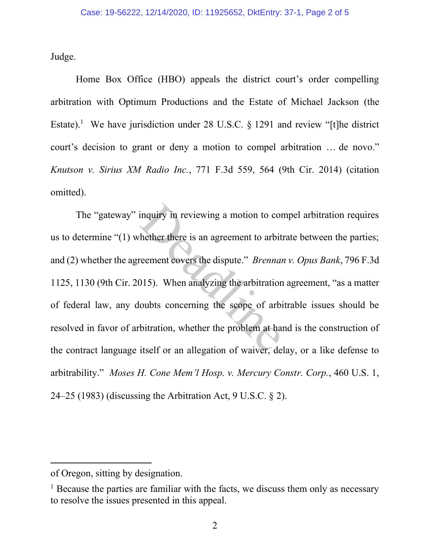Judge.

Home Box Office (HBO) appeals the district court's order compelling arbitration with Optimum Productions and the Estate of Michael Jackson (the Estate).<sup>1</sup> We have jurisdiction under 28 U.S.C. § 1291 and review "[t]he district court's decision to grant or deny a motion to compel arbitration … de novo." *Knutson v. Sirius XM Radio Inc.*, 771 F.3d 559, 564 (9th Cir. 2014) (citation omitted).

The "gateway" inquiry in reviewing a motion to compel arbitration requires us to determine "(1) whether there is an agreement to arbitrate between the parties; and (2) whether the agreement covers the dispute." *Brennan v. Opus Bank*, 796 F.3d 1125, 1130 (9th Cir. 2015). When analyzing the arbitration agreement, "as a matter of federal law, any doubts concerning the scope of arbitrable issues should be resolved in favor of arbitration, whether the problem at hand is the construction of the contract language itself or an allegation of waiver, delay, or a like defense to arbitrability." *Moses H. Cone Mem'l Hosp. v. Mercury Constr. Corp.*, 460 U.S. 1, 24–25 (1983) (discussing the Arbitration Act, 9 U.S.C. § 2). inquiry in reviewing a motion to con-<br>
hether there is an agreement to arbit<br>
reement covers the dispute." *Brennai*<br>
015). When analyzing the arbitration<br>
oubts concerning the scope of arbi-<br>
bitration, whether the proble

of Oregon, sitting by designation.

<sup>&</sup>lt;sup>1</sup> Because the parties are familiar with the facts, we discuss them only as necessary to resolve the issues presented in this appeal.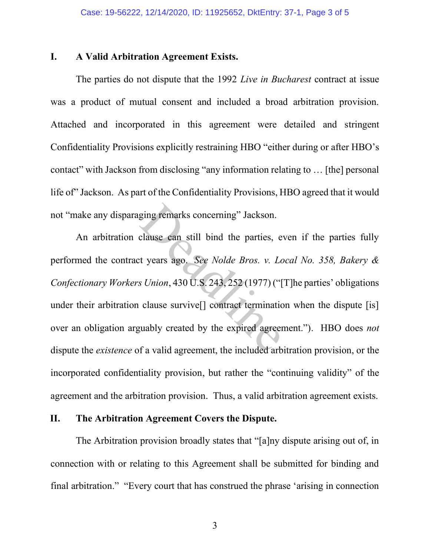## **I. A Valid Arbitration Agreement Exists.**

The parties do not dispute that the 1992 *Live in Bucharest* contract at issue was a product of mutual consent and included a broad arbitration provision. Attached and incorporated in this agreement were detailed and stringent Confidentiality Provisions explicitly restraining HBO "either during or after HBO's contact" with Jackson from disclosing "any information relating to … [the] personal life of" Jackson. As part of the Confidentiality Provisions, HBO agreed that it would not "make any disparaging remarks concerning" Jackson.

An arbitration clause can still bind the parties, even if the parties fully performed the contract years ago. *See Nolde Bros. v. Local No. 358, Bakery & Confectionary Workers Union*, 430 U.S. 243, 252 (1977) ("[T]he parties' obligations under their arbitration clause survive<sup>[]</sup> contract termination when the dispute [is] over an obligation arguably created by the expired agreement."). HBO does *not* dispute the *existence* of a valid agreement, the included arbitration provision, or the incorporated confidentiality provision, but rather the "continuing validity" of the agreement and the arbitration provision. Thus, a valid arbitration agreement exists. ging remarks concerning" Jackson.<br>
clause can still bind the parties, e<br>
st years ago. *See Nolde Bros. v. Los Union*, 430 U.S. 243, 252 (1977) ("<br>
clause survive[] contract termination<br>
guably created by the expired agree

## **II. The Arbitration Agreement Covers the Dispute.**

The Arbitration provision broadly states that "[a]ny dispute arising out of, in connection with or relating to this Agreement shall be submitted for binding and final arbitration." "Every court that has construed the phrase 'arising in connection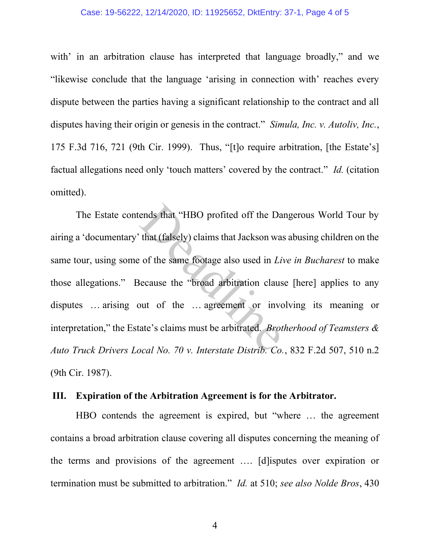#### Case: 19-56222, 12/14/2020, ID: 11925652, DktEntry: 37-1, Page 4 of 5

with' in an arbitration clause has interpreted that language broadly," and we "likewise conclude that the language 'arising in connection with' reaches every dispute between the parties having a significant relationship to the contract and all disputes having their origin or genesis in the contract." *Simula, Inc. v. Autoliv, Inc.*, 175 F.3d 716, 721 (9th Cir. 1999). Thus, "[t]o require arbitration, [the Estate's] factual allegations need only 'touch matters' covered by the contract." *Id.* (citation omitted).

The Estate contends that "HBO profited off the Dangerous World Tour by airing a 'documentary' that (falsely) claims that Jackson was abusing children on the same tour, using some of the same footage also used in *Live in Bucharest* to make those allegations." Because the "broad arbitration clause [here] applies to any disputes … arising out of the … agreement or involving its meaning or interpretation," the Estate's claims must be arbitrated. *Brotherhood of Teamsters & Auto Truck Drivers Local No. 70 v. Interstate Distrib. Co.*, 832 F.2d 507, 510 n.2 (9th Cir. 1987). ends that "HBO profited off the Da<br>that (falsely) claims that Jackson wa<br>c of the same footage also used in Li<br>decause the "broad arbitration claus<br>out of the ... agreement or inverse in the set of the ... agreement or inv

#### **III. Expiration of the Arbitration Agreement is for the Arbitrator.**

HBO contends the agreement is expired, but "where … the agreement contains a broad arbitration clause covering all disputes concerning the meaning of the terms and provisions of the agreement …. [d]isputes over expiration or termination must be submitted to arbitration." *Id.* at 510; *see also Nolde Bros*, 430

4